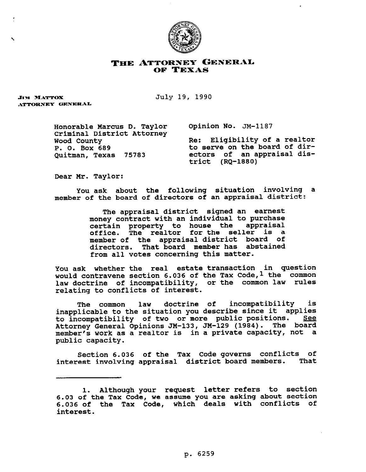

## THE ATTORNEY GENERAL OF TEXAS

**JIM MATTOX** ATTORNEY GENERAL July 19, 1990

Honorable Marcus D. Taylor Opinion No. JM-1187 Criminal District Attorney

Wood County<br>
P. O. Box 689 The Contract Control of dir-P. O. Box 689 to serve on the board of dir-<br>Ouitman, Texas 75783 ectors of an appraisal disectors of an appraisal district (RQ-1880)

Dear Mr. Taylor:

You ask about the following situation involving a member of the board of directors of an appraisal district:

> The appraisal district signed an earnest money contract with an individual to purchase certain property to house the appraisal . The realtor for the seller is a member of the appraisal district board of directors. That board member has abstained from all votes concerning this matter.

You ask whether the real estate transaction in question would contravene section 6.036 of the Tax Code, <sup>1</sup> the common law doctrine of incompatibility, or the common law rules relating to conflicts of interest.

The common law doctrine of incompatibility is inapplicable to the situation you describe since it applies to incompatibility of two or more public positions. See Attorney General Opinions JM-133, JM-129 (1984). The board member's work as a realtor is in a private capacity, not a public capacity.

Section 6.036 of the Tax Code governs conflicts of interest involving appraisal district board members. That

<sup>1.</sup> Although your request letter refers to section **6.03** of the Tax Code, we assume you are asking about section **6.036** of the Tax Code, which deals with conflicts of interest.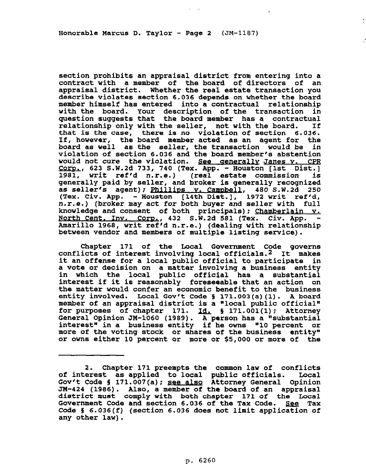Honorable Marcus D. Taylor - Page 2  $(JM-1187)$ 

section prohibits an appraisal district from entering into a contract with a member of the board of directors of an appraisal district. Whether the real estate transaction you describe violates section 6.036 depends on whether the board member himself has entered into a contractual relationship with the board. Your description of the transaction in question suggests that the board member has a contractual<br>relationship only with the seller, not with the board. If relationship only with the seller, not with the board. that is the case, there is no violation of section 6.036. If, however, the board member acted as an agent for the board as well as the seller, the transaction would be in violation of section 6.036 and the board member's abstention would not cure the violation. See generally Janes v. CPR  $Corr.$ , 623 S.W.2d 733, 740 (Tex. App. - Houston [1st Dist.] ref\*d n.r.e.) (real estate commission is genekally paid by seller, and broker is generally recognized as seller's agent); Phillips v. Campbell, 480 S.W.2d 250 (Tex. Civ. App. - Houston [14th Dist.], 1972 writ ref'd, n.r.e.) (broker may act for both buyer and seller with full knowledge and consent **of** both principals); Chamberlain v. North Cent. Inv. Corp., 432 S.W.2d 581 (Tex. Civ. App. -Amarillo 1968, writ ref'd n.r.e.) (dealing with relationship between vendor and members of multiple listing service).

Chapter 171 of the Local Government Code governs conflicts of interest involving local officials.2 It makes it an offense for a local public official to participate in a vote or decision on a matter involving a business entity in which the local public official has a substantial interest if it is reasonably foreseeable that an action on the matter would confer an economic benefit to the business entity involved. Local Gov't Code § 171.003(a)(1). A board member of an appraisal district is a "local public official" for purposes of chapter  $171.$   $\underline{Id.}$  § 171.001(1); Attorney General Opinion JM-1060 (1989). A person has a "substantial interest" in a business entity if he owns "10 percent or more of the voting stock or shares of the business entity" or owns either 10 percent or more or \$5,000 or more of the

<sup>2.</sup> Chapter 171 preempts the common law of conflicts of interest as applied to local public officials. Gov't Code 5 171.007(a); **see also Attorney** General Opinion JW-424 (1986). Also, a member of the board of an appraisal district must comply with both chapter 171 of the Local Government Code and section 6.036 of the Tax Code. See Tax Code 5 6.036(f) (section 6.036 does not limit application of any other law).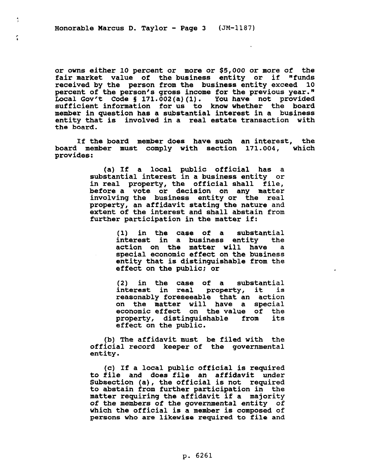$\ddot{\ddot{\cdot}}$ 

or owns either 10 percent or more or \$5,000 or more of the fair market value of the business entity or if "funds received by the person from the business entity exceed 10 percent of the person's gross income for the previous year." Local Gov't Code § 171.002(a)(1). You have not provided sufficient information for us to know whether the board member in question has a substantial interest in a business entity that is involved in a real estate transaction with the board.

If the board member does have such an interest, the board member must comply with section 171.004, which provides:

> (a) If a local public official has a substantial interest in a business entity or in real property, the official shall file, before a vote or decision on any matter involving the business entity or the real property, an affidavit stating the nature and extent of the interest and shall abstain from further participation in the matter if:

> > (1) in the case of a substantial interest in a business entity the<br>action on the matter will have a action on the matter will have special economic effect on the business entity that is distinguishable from the effect on the public: or

(2) in the case of a substantial interest in real property, it is reasonably foreseeable that an action on the matter will have a special economic effect on the value of the<br>property, distinguishable from its property, distinguishable from effect on the public.

(b) The affidavit must be filed with the official record keeper of the governmental entity.

(c) If a local public official is required to file and does file an affidavit under Subsection (a), the official is not required to abstain from further participation in the matter requiring the affidavit if a majority of the members of the governmental entity of which the official is a member is composed of persons who are likewise required to file and